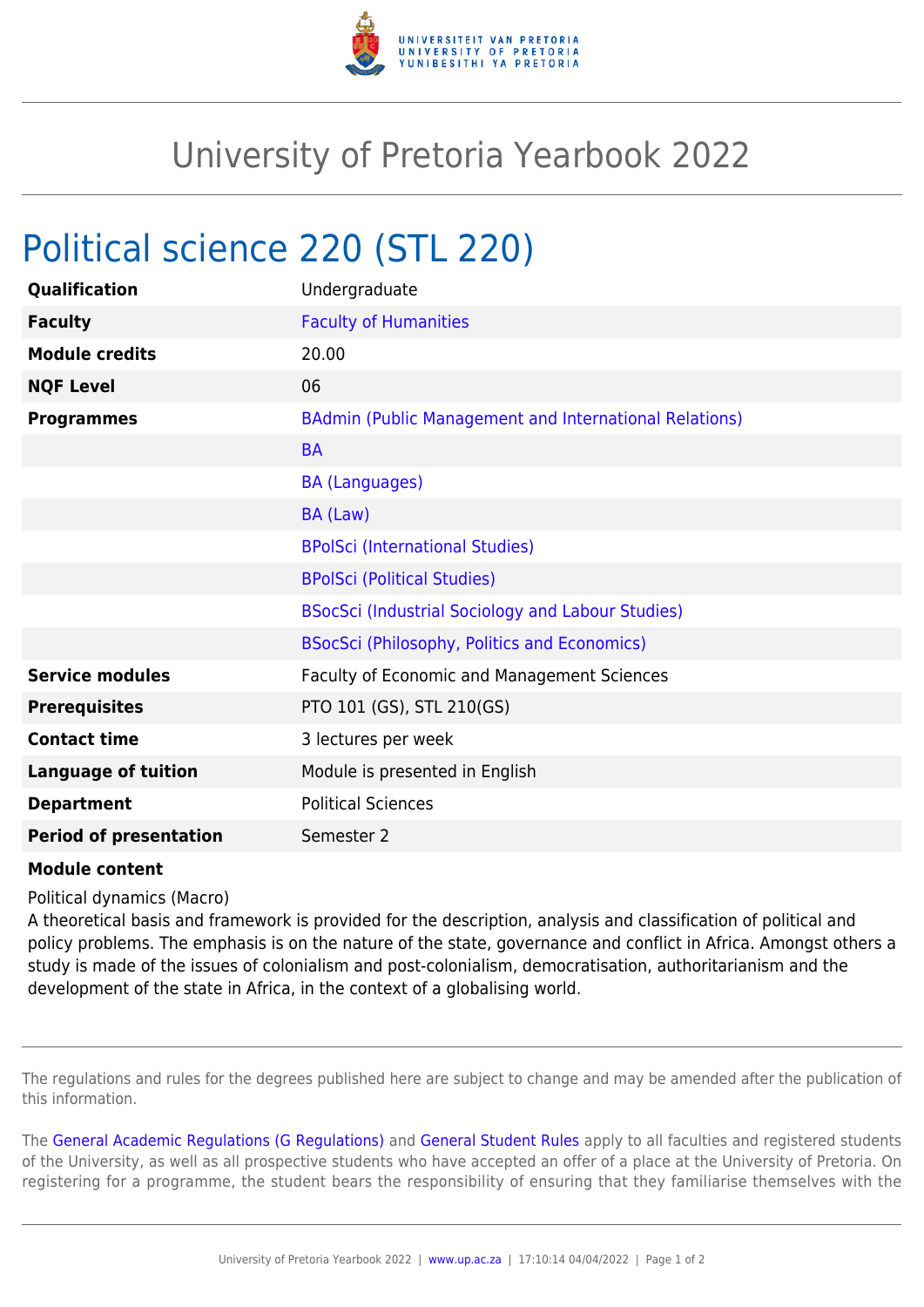

## University of Pretoria Yearbook 2022

## Political science 220 (STL 220)

| Qualification                 | Undergraduate                                          |
|-------------------------------|--------------------------------------------------------|
| <b>Faculty</b>                | <b>Faculty of Humanities</b>                           |
| <b>Module credits</b>         | 20.00                                                  |
| <b>NQF Level</b>              | 06                                                     |
| <b>Programmes</b>             | BAdmin (Public Management and International Relations) |
|                               | <b>BA</b>                                              |
|                               | <b>BA (Languages)</b>                                  |
|                               | BA (Law)                                               |
|                               | <b>BPolSci (International Studies)</b>                 |
|                               | <b>BPolSci (Political Studies)</b>                     |
|                               | BSocSci (Industrial Sociology and Labour Studies)      |
|                               | <b>BSocSci (Philosophy, Politics and Economics)</b>    |
| <b>Service modules</b>        | Faculty of Economic and Management Sciences            |
| <b>Prerequisites</b>          | PTO 101 (GS), STL 210(GS)                              |
| <b>Contact time</b>           | 3 lectures per week                                    |
| <b>Language of tuition</b>    | Module is presented in English                         |
| <b>Department</b>             | <b>Political Sciences</b>                              |
| <b>Period of presentation</b> | Semester 2                                             |

## **Module content**

Political dynamics (Macro)

A theoretical basis and framework is provided for the description, analysis and classification of political and policy problems. The emphasis is on the nature of the state, governance and conflict in Africa. Amongst others a study is made of the issues of colonialism and post-colonialism, democratisation, authoritarianism and the development of the state in Africa, in the context of a globalising world.

The regulations and rules for the degrees published here are subject to change and may be amended after the publication of this information.

The [General Academic Regulations \(G Regulations\)](https://www.up.ac.za/yearbooks/2022/rules/view/REG) and [General Student Rules](https://www.up.ac.za/yearbooks/2022/rules/view/RUL) apply to all faculties and registered students of the University, as well as all prospective students who have accepted an offer of a place at the University of Pretoria. On registering for a programme, the student bears the responsibility of ensuring that they familiarise themselves with the